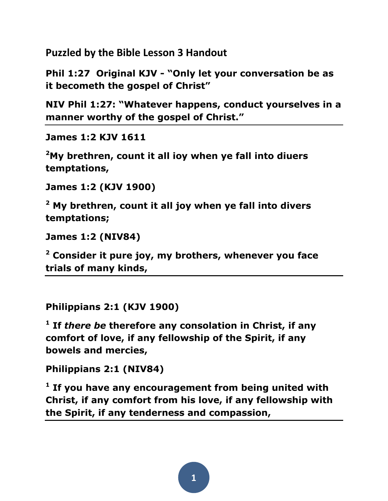**Puzzled by the Bible Lesson 3 Handout**

**Phil 1:27 Original KJV - "Only let your conversation be as it becometh the gospel of Christ"**

**NIV Phil 1:27: "Whatever happens, conduct yourselves in a manner worthy of the gospel of Christ."**

**James 1:2 KJV 1611**

**[2](http://www.kingjamesbibleonline.org/1611_James-1-2/)[My brethren, count it all ioy when ye fall into diuers](http://www.kingjamesbibleonline.org/1611_James-1-2/)  [temptations,](http://www.kingjamesbibleonline.org/1611_James-1-2/)**

**James 1:2 (KJV 1900)** 

**<sup>2</sup> My brethren, count it all joy when ye fall into divers temptations;**

**James 1:2 (NIV84)** 

**<sup>2</sup> Consider it pure joy, my brothers, whenever you face trials of many kinds,** 

**Philippians 2:1 (KJV 1900)** 

**1 If** *there be* **therefore any consolation in Christ, if any comfort of love, if any fellowship of the Spirit, if any bowels and mercies,**

**Philippians 2:1 (NIV84)** 

**1 If you have any encouragement from being united with Christ, if any comfort from his love, if any fellowship with the Spirit, if any tenderness and compassion,**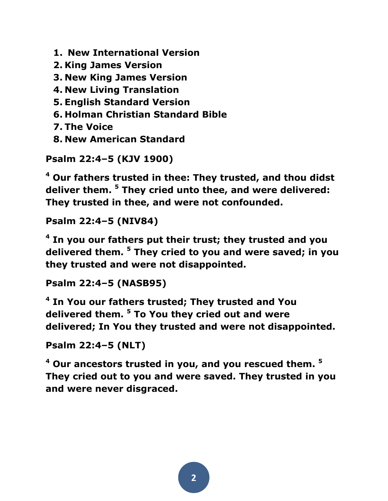**1. New International Version**

**2. King James Version**

**3. New King James Version**

**4. New Living Translation**

**5. English Standard Version**

**6. Holman Christian Standard Bible**

**7. The Voice**

**8. New American Standard**

**Psalm 22:4–5 (KJV 1900)** 

**<sup>4</sup> Our fathers trusted in thee: They trusted, and thou didst deliver them. <sup>5</sup> They cried unto thee, and were delivered: They trusted in thee, and were not confounded.** 

**Psalm 22:4–5 (NIV84)** 

**4 In you our fathers put their trust; they trusted and you delivered them. <sup>5</sup> They cried to you and were saved; in you they trusted and were not disappointed.** 

**Psalm 22:4–5 (NASB95)** 

**4 In You our fathers trusted; They trusted and You delivered them. <sup>5</sup> To You they cried out and were delivered; In You they trusted and were not disappointed.** 

```
Psalm 22:4–5 (NLT)
```
**<sup>4</sup> Our ancestors trusted in you, and you rescued them. <sup>5</sup> They cried out to you and were saved. They trusted in you and were never disgraced.**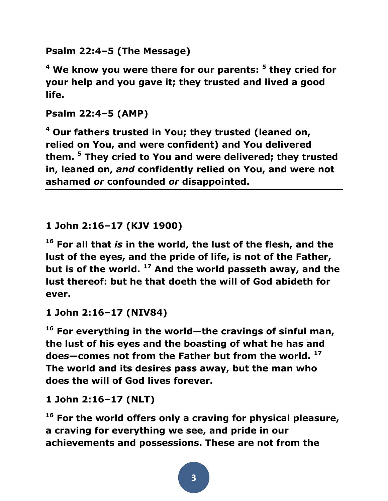**Psalm 22:4–5 (The Message)** 

**<sup>4</sup> We know you were there for our parents: <sup>5</sup> they cried for your help and you gave it; they trusted and lived a good life.** 

**Psalm 22:4–5 (AMP)** 

**<sup>4</sup> Our fathers trusted in You; they trusted (leaned on, relied on You, and were confident) and You delivered them. <sup>5</sup> They cried to You and were delivered; they trusted in, leaned on,** *and* **confidently relied on You, and were not ashamed** *or* **confounded** *or* **disappointed.** 

**1 John 2:16–17 (KJV 1900)** 

**<sup>16</sup> For all that** *is* **in the world, the lust of the flesh, and the lust of the eyes, and the pride of life, is not of the Father, but is of the world. <sup>17</sup> And the world passeth away, and the lust thereof: but he that doeth the will of God abideth for ever.** 

**1 John 2:16–17 (NIV84)** 

**<sup>16</sup> For everything in the world—the cravings of sinful man, the lust of his eyes and the boasting of what he has and does—comes not from the Father but from the world. <sup>17</sup> The world and its desires pass away, but the man who does the will of God lives forever.** 

**1 John 2:16–17 (NLT)** 

**<sup>16</sup> For the world offers only a craving for physical pleasure, a craving for everything we see, and pride in our achievements and possessions. These are not from the**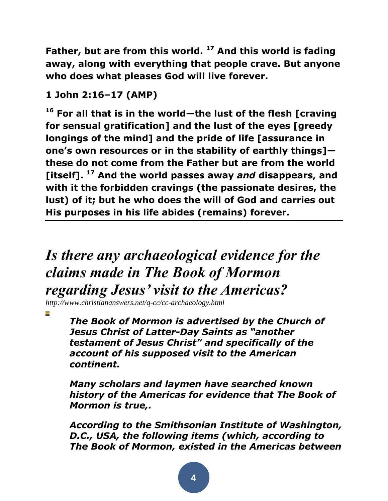**Father, but are from this world. <sup>17</sup> And this world is fading away, along with everything that people crave. But anyone who does what pleases God will live forever.** 

## **1 John 2:16–17 (AMP)**

**<sup>16</sup> For all that is in the world—the lust of the flesh [craving for sensual gratification] and the lust of the eyes [greedy longings of the mind] and the pride of life [assurance in one's own resources or in the stability of earthly things] these do not come from the Father but are from the world [itself]. <sup>17</sup> And the world passes away** *and* **disappears, and with it the forbidden cravings (the passionate desires, the lust) of it; but he who does the will of God and carries out His purposes in his life abides (remains) forever.** 

# *Is there any archaeological evidence for the claims made in The Book of Mormon regarding Jesus' visit to the Americas?*

*http://www.christiananswers.net/q-cc/cc-archaeology.html*

*The Book of Mormon is advertised by the Church of Jesus Christ of Latter-Day Saints as "another testament of Jesus Christ" and specifically of the account of his supposed visit to the American continent.*

*Many scholars and laymen have searched known history of the Americas for evidence that The Book of Mormon is true,.*

*According to the Smithsonian Institute of Washington, D.C., USA, the following items (which, according to The Book of Mormon, existed in the Americas between*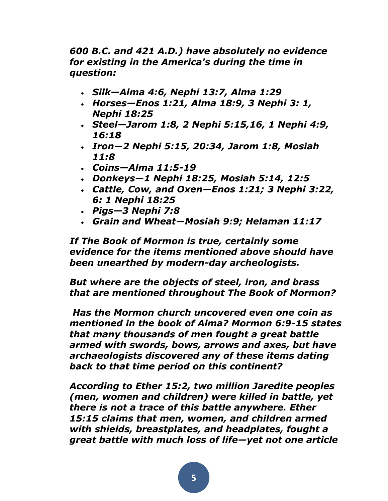*600 B.C. and 421 A.D.) have absolutely no evidence for existing in the America's during the time in question:* 

- *Silk—Alma 4:6, Nephi 13:7, Alma 1:29*
- *Horses—Enos 1:21, Alma 18:9, 3 Nephi 3: 1, Nephi 18:25*
- *Steel—Jarom 1:8, 2 Nephi 5:15,16, 1 Nephi 4:9, 16:18*
- *Iron—2 Nephi 5:15, 20:34, Jarom 1:8, Mosiah 11:8*
- *Coins—Alma 11:5-19*
- *Donkeys—1 Nephi 18:25, Mosiah 5:14, 12:5*
- *Cattle, Cow, and Oxen—Enos 1:21; 3 Nephi 3:22, 6: 1 Nephi 18:25*
- *Pigs—3 Nephi 7:8*
- *Grain and Wheat—Mosiah 9:9; Helaman 11:17*

*If The Book of Mormon is true, certainly some evidence for the items mentioned above should have been unearthed by modern-day archeologists.* 

*But where are the objects of steel, iron, and brass that are mentioned throughout The Book of Mormon?*

*Has the Mormon church uncovered even one coin as mentioned in the book of Alma? Mormon 6:9-15 states that many thousands of men fought a great battle armed with swords, bows, arrows and axes, but have archaeologists discovered any of these items dating back to that time period on this continent?* 

*According to Ether 15:2, two million Jaredite peoples (men, women and children) were killed in battle, yet there is not a trace of this battle anywhere. Ether 15:15 claims that men, women, and children armed with shields, breastplates, and headplates, fought a great battle with much loss of life—yet not one article*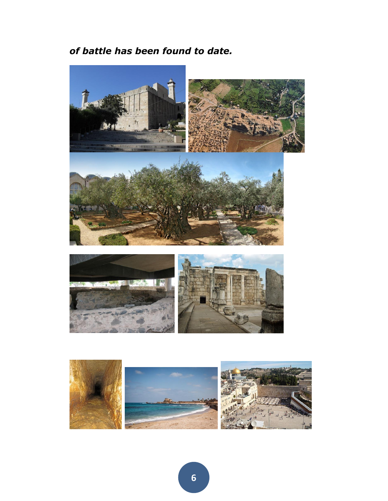## *of battle has been found to date.*



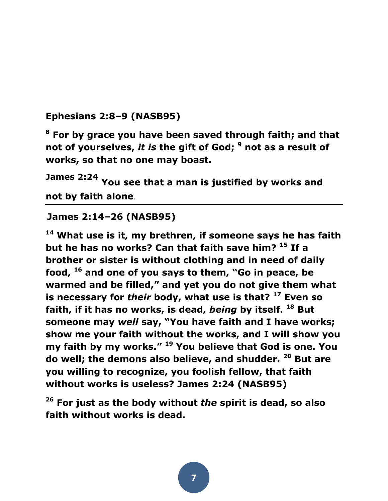#### **Ephesians 2:8–9 (NASB95)**

**<sup>8</sup> For by grace you have been saved through faith; and that not of yourselves,** *it is* **the gift of God; <sup>9</sup> not as a result of works, so that no one may boast.** 

**James 2:24 You see that a man is justified by works and not by faith alone**.

#### **James 2:14–26 (NASB95)**

**<sup>14</sup> What use is it, my brethren, if someone says he has faith but he has no works? Can that faith save him? <sup>15</sup> If a brother or sister is without clothing and in need of daily food, <sup>16</sup> and one of you says to them, "Go in peace, be warmed and be filled," and yet you do not give them what is necessary for** *their* **body, what use is that? <sup>17</sup> Even so faith, if it has no works, is dead,** *being* **by itself. <sup>18</sup> But someone may** *well* **say, "You have faith and I have works; show me your faith without the works, and I will show you my faith by my works." <sup>19</sup> You believe that God is one. You do well; the demons also believe, and shudder. <sup>20</sup> But are you willing to recognize, you foolish fellow, that faith without works is useless? James 2:24 (NASB95)** 

**<sup>26</sup> For just as the body without** *the* **spirit is dead, so also faith without works is dead.**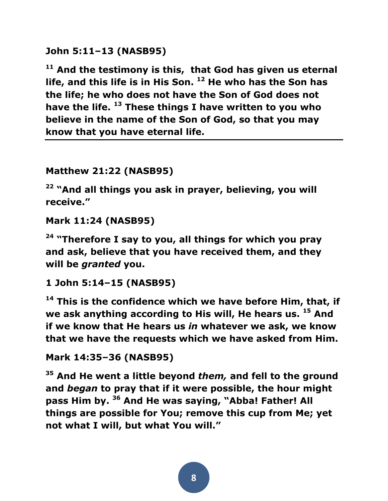**John 5:11–13 (NASB95)** 

**<sup>11</sup> And the testimony is this, that God has given us eternal life, and this life is in His Son. <sup>12</sup> He who has the Son has the life; he who does not have the Son of God does not have the life. <sup>13</sup> These things I have written to you who believe in the name of the Son of God, so that you may know that you have eternal life.**

#### **Matthew 21:22 (NASB95)**

**<sup>22</sup> "And all things you ask in prayer, believing, you will receive."** 

```
Mark 11:24 (NASB95)
```
**<sup>24</sup> "Therefore I say to you, all things for which you pray and ask, believe that you have received them, and they will be** *granted* **you.** 

**1 John 5:14–15 (NASB95)** 

**<sup>14</sup> This is the confidence which we have before Him, that, if we ask anything according to His will, He hears us. <sup>15</sup> And if we know that He hears us** *in* **whatever we ask, we know that we have the requests which we have asked from Him.** 

**Mark 14:35–36 (NASB95)** 

**<sup>35</sup> And He went a little beyond** *them,* **and fell to the ground and** *began* **to pray that if it were possible, the hour might pass Him by. <sup>36</sup> And He was saying, "Abba! Father! All things are possible for You; remove this cup from Me; yet not what I will, but what You will."**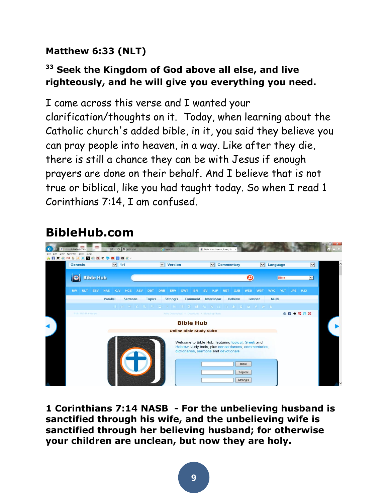## **Matthew 6:33 (NLT)**

## **<sup>33</sup> Seek the Kingdom of God above all else, and live righteously, and he will give you everything you need.**

I came across this verse and I wanted your clarification/thoughts on it. Today, when learning about the Catholic church's added bible, in it, you said they believe you can pray people into heaven, in a way. Like after they die, there is still a chance they can be with Jesus if enough prayers are done on their behalf. And I believe that is not true or biblical, like you had taught today. So when I read 1 Corinthians 7:14, I am confused.

## **BibleHub.com**

| http://biblehub.com             | $O - C$ $\Rightarrow$ AOL Mail  | C New tab                                           | Bible Hub: Search, Read, St.                         |                                                                                                                                               |                                                                                                                                                                                                                       | $ \Box$ $x$<br>$\hat{n} \star \circ$                    |
|---------------------------------|---------------------------------|-----------------------------------------------------|------------------------------------------------------|-----------------------------------------------------------------------------------------------------------------------------------------------|-----------------------------------------------------------------------------------------------------------------------------------------------------------------------------------------------------------------------|---------------------------------------------------------|
|                                 |                                 |                                                     |                                                      |                                                                                                                                               |                                                                                                                                                                                                                       |                                                         |
| <b>Genesis</b>                  | $\triangledown$ 1:1             | $\vee$ Version                                      | $\triangledown$ Commentary                           |                                                                                                                                               | $\vert \mathbf{v} \vert$                                                                                                                                                                                              |                                                         |
| $\bullet$                       |                                 |                                                     |                                                      | ი                                                                                                                                             | $\vert$ $\vert$                                                                                                                                                                                                       |                                                         |
| <b>NIV</b><br><b>NLT</b>        | KJV<br><b>HCS</b><br><b>NAS</b> | <b>DBT</b><br><b>DRB</b><br>ERV<br><b>GWT</b>       | <b>ISV</b><br><b>KJP</b><br><b>NET</b><br><b>OJB</b> | <b>WBT</b><br><b>WYC</b>                                                                                                                      | <b>KJ2</b><br><b>JPS</b>                                                                                                                                                                                              |                                                         |
|                                 | Parallel<br><b>Sermons</b>      | <b>Topics</b><br>Strong's                           | Hebrew                                               | Multi<br>Lexicon                                                                                                                              |                                                                                                                                                                                                                       |                                                         |
|                                 |                                 |                                                     |                                                      |                                                                                                                                               |                                                                                                                                                                                                                       |                                                         |
| Bible Hub Homepage              |                                 |                                                     |                                                      |                                                                                                                                               | 05E                                                                                                                                                                                                                   |                                                         |
|                                 |                                 |                                                     |                                                      |                                                                                                                                               |                                                                                                                                                                                                                       |                                                         |
| <b>Online Bible Study Suite</b> |                                 |                                                     |                                                      |                                                                                                                                               |                                                                                                                                                                                                                       |                                                         |
|                                 |                                 |                                                     |                                                      |                                                                                                                                               |                                                                                                                                                                                                                       |                                                         |
|                                 | View Favorites Tools Help       | <b>ARCOMSCORD</b><br><b>Bible Hub</b><br><b>ESV</b> | <b>ASV</b>                                           | <b>ISR</b><br>Comment Interlinear<br>Free Downloads * Devotions * Reading Plans<br><b>Bible Hub</b><br>dictionaries, sermons and devotionals. | <b>WEB</b><br><b>E A B C B I E T B E Z I A N 8 N B D B F B E</b><br>Welcome to Bible Hub, featuring topical, Greek and<br>Hebrew study tools, plus concordances, commentaries,<br><b>Bible</b><br>Topical<br>Strong's | $\vee$ Language<br><b>Bible</b><br><b>YLT</b><br>cro ff |

**1 Corinthians 7:14 NASB - For the unbelieving husband is sanctified through his wife, and the unbelieving wife is sanctified through her believing husband; for otherwise your children are unclean, but now they are holy.**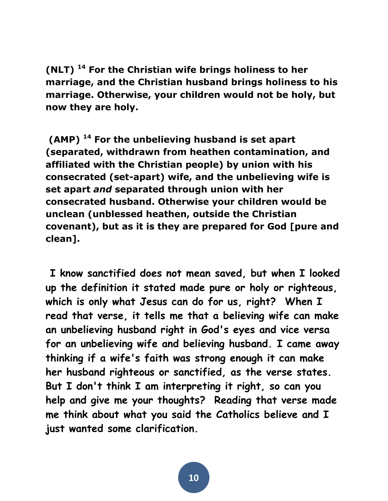**(NLT) <sup>14</sup> For the Christian wife brings holiness to her marriage, and the Christian husband brings holiness to his marriage. Otherwise, your children would not be holy, but now they are holy.** 

**(AMP) <sup>14</sup> For the unbelieving husband is set apart (separated, withdrawn from heathen contamination, and affiliated with the Christian people) by union with his consecrated (set-apart) wife, and the unbelieving wife is set apart** *and* **separated through union with her consecrated husband. Otherwise your children would be unclean (unblessed heathen, outside the Christian covenant), but as it is they are prepared for God [pure and clean].** 

**I know sanctified does not mean saved, but when I looked up the definition it stated made pure or holy or righteous, which is only what Jesus can do for us, right? When I read that verse, it tells me that a believing wife can make an unbelieving husband right in God's eyes and vice versa for an unbelieving wife and believing husband. I came away thinking if a wife's faith was strong enough it can make her husband righteous or sanctified, as the verse states. But I don't think I am interpreting it right, so can you help and give me your thoughts? Reading that verse made me think about what you said the Catholics believe and I just wanted some clarification.**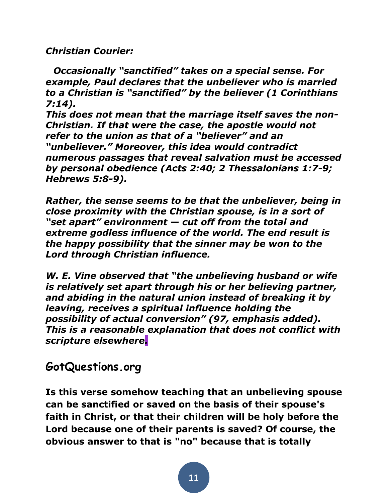*Christian Courier:*

*Occasionally "sanctified" takes on a special sense. For example, Paul declares that the unbeliever who is married to a Christian is "sanctified" by the believer (1 Corinthians 7:14).*

*This does not mean that the marriage itself saves the non-Christian. If that were the case, the apostle would not refer to the union as that of a "believer" and an "unbeliever." Moreover, this idea would contradict numerous passages that reveal salvation must be accessed by personal obedience (Acts 2:40; 2 Thessalonians 1:7-9; Hebrews 5:8-9).*

*Rather, the sense seems to be that the unbeliever, being in close proximity with the Christian spouse, is in a sort of "set apart" environment — cut off from the total and extreme godless influence of the world. The end result is the happy possibility that the sinner may be won to the Lord through Christian influence.*

*W. E. Vine observed that "the unbelieving husband or wife is relatively set apart through his or her believing partner, and abiding in the natural union instead of breaking it by leaving, receives a spiritual influence holding the possibility of actual conversion" (97, emphasis added). This is a reasonable explanation that does not conflict with scripture elsewhere.*

**GotQuestions.org** 

**Is this verse somehow teaching that an unbelieving spouse can be sanctified or saved on the basis of their spouse's faith in Christ, or that their children will be holy before the Lord because one of their parents is saved? Of course, the obvious answer to that is "no" because that is totally**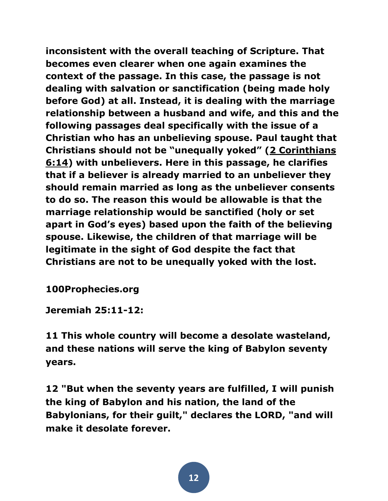**inconsistent with the overall teaching of Scripture. That becomes even clearer when one again examines the context of the passage. In this case, the passage is not dealing with salvation or sanctification (being made holy before God) at all. Instead, it is dealing with the marriage relationship between a husband and wife, and this and the following passages deal specifically with the issue of a Christian who has an unbelieving spouse. Paul taught that Christians should not be "unequally yoked" ([2 Corinthians](http://biblia.com/bible/esv/2%20Corinthians%206.14)  [6:14\)](http://biblia.com/bible/esv/2%20Corinthians%206.14) with unbelievers. Here in this passage, he clarifies that if a believer is already married to an unbeliever they should remain married as long as the unbeliever consents to do so. The reason this would be allowable is that the marriage relationship would be sanctified (holy or set apart in God's eyes) based upon the faith of the believing spouse. Likewise, the children of that marriage will be legitimate in the sight of God despite the fact that Christians are not to be unequally yoked with the lost.**

**100Prophecies.org**

**Jeremiah 25:11-12:**

**11 This whole country will become a desolate wasteland, and these nations will serve the king of Babylon seventy years.** 

**12 "But when the seventy years are fulfilled, I will punish the king of Babylon and his nation, the land of the Babylonians, for their guilt," declares the LORD, "and will make it desolate forever.**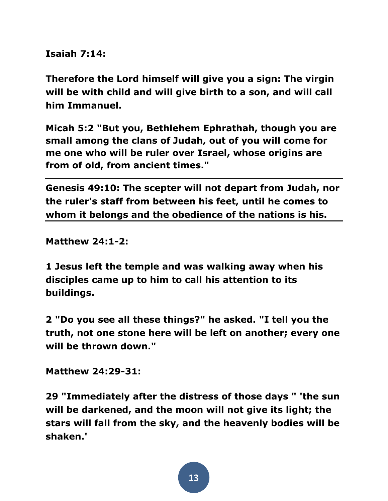**Isaiah 7:14:**

**Therefore the Lord himself will give you a sign: The virgin will be with child and will give birth to a son, and will call him Immanuel.**

**Micah 5:2 "But you, Bethlehem Ephrathah, though you are small among the clans of Judah, out of you will come for me one who will be ruler over Israel, whose origins are from of old, from ancient times."**

**Genesis 49:10: The scepter will not depart from Judah, nor the ruler's staff from between his feet, until he comes to whom it belongs and the obedience of the nations is his.**

**Matthew 24:1-2:**

**1 Jesus left the temple and was walking away when his disciples came up to him to call his attention to its buildings.** 

**2 "Do you see all these things?" he asked. "I tell you the truth, not one stone here will be left on another; every one will be thrown down."**

**Matthew 24:29-31:**

**29 "Immediately after the distress of those days " 'the sun will be darkened, and the moon will not give its light; the stars will fall from the sky, and the heavenly bodies will be shaken.'**